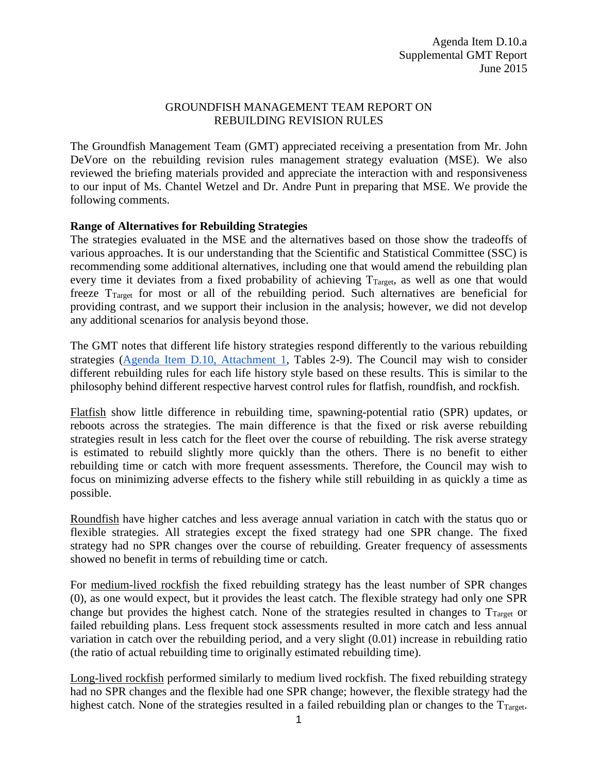## GROUNDFISH MANAGEMENT TEAM REPORT ON REBUILDING REVISION RULES

The Groundfish Management Team (GMT) appreciated receiving a presentation from Mr. John DeVore on the rebuilding revision rules management strategy evaluation (MSE). We also reviewed the briefing materials provided and appreciate the interaction with and responsiveness to our input of Ms. Chantel Wetzel and Dr. Andre Punt in preparing that MSE. We provide the following comments.

## **Range of Alternatives for Rebuilding Strategies**

The strategies evaluated in the MSE and the alternatives based on those show the tradeoffs of various approaches. It is our understanding that the Scientific and Statistical Committee (SSC) is recommending some additional alternatives, including one that would amend the rebuilding plan every time it deviates from a fixed probability of achieving  $T_{\text{Target}}$ , as well as one that would freeze TTarget for most or all of the rebuilding period. Such alternatives are beneficial for providing contrast, and we support their inclusion in the analysis; however, we did not develop any additional scenarios for analysis beyond those.

The GMT notes that different life history strategies respond differently to the various rebuilding strategies [\(Agenda Item D.10, Attachment 1,](http://www.pcouncil.org/wp-content/uploads/2015/05/D10_Att1_Rebuilding_Strategies_JUN2015BB.pdf) Tables 2-9). The Council may wish to consider different rebuilding rules for each life history style based on these results. This is similar to the philosophy behind different respective harvest control rules for flatfish, roundfish, and rockfish.

Flatfish show little difference in rebuilding time, spawning-potential ratio (SPR) updates, or reboots across the strategies. The main difference is that the fixed or risk averse rebuilding strategies result in less catch for the fleet over the course of rebuilding. The risk averse strategy is estimated to rebuild slightly more quickly than the others. There is no benefit to either rebuilding time or catch with more frequent assessments. Therefore, the Council may wish to focus on minimizing adverse effects to the fishery while still rebuilding in as quickly a time as possible.

Roundfish have higher catches and less average annual variation in catch with the status quo or flexible strategies. All strategies except the fixed strategy had one SPR change. The fixed strategy had no SPR changes over the course of rebuilding. Greater frequency of assessments showed no benefit in terms of rebuilding time or catch.

For medium-lived rockfish the fixed rebuilding strategy has the least number of SPR changes (0), as one would expect, but it provides the least catch. The flexible strategy had only one SPR change but provides the highest catch. None of the strategies resulted in changes to  $T_{\text{Target}}$  or failed rebuilding plans. Less frequent stock assessments resulted in more catch and less annual variation in catch over the rebuilding period, and a very slight (0.01) increase in rebuilding ratio (the ratio of actual rebuilding time to originally estimated rebuilding time).

Long-lived rockfish performed similarly to medium lived rockfish. The fixed rebuilding strategy had no SPR changes and the flexible had one SPR change; however, the flexible strategy had the highest catch. None of the strategies resulted in a failed rebuilding plan or changes to the  $T_{\text{Target}}$ .